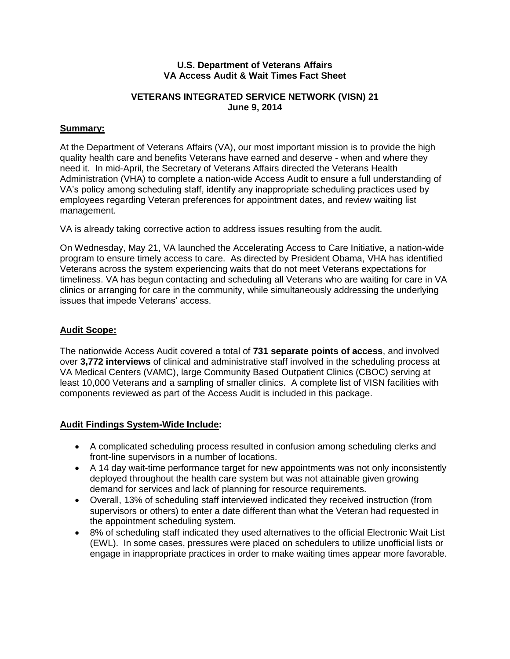#### **U.S. Department of Veterans Affairs VA Access Audit & Wait Times Fact Sheet**

## **VETERANS INTEGRATED SERVICE NETWORK (VISN) 21 June 9, 2014**

# **Summary:**

At the Department of Veterans Affairs (VA), our most important mission is to provide the high quality health care and benefits Veterans have earned and deserve - when and where they need it. In mid-April, the Secretary of Veterans Affairs directed the Veterans Health Administration (VHA) to complete a nation-wide Access Audit to ensure a full understanding of VA's policy among scheduling staff, identify any inappropriate scheduling practices used by employees regarding Veteran preferences for appointment dates, and review waiting list management.

VA is already taking corrective action to address issues resulting from the audit.

On Wednesday, May 21, VA launched the Accelerating Access to Care Initiative, a nation-wide program to ensure timely access to care. As directed by President Obama, VHA has identified Veterans across the system experiencing waits that do not meet Veterans expectations for timeliness. VA has begun contacting and scheduling all Veterans who are waiting for care in VA clinics or arranging for care in the community, while simultaneously addressing the underlying issues that impede Veterans' access.

### **Audit Scope:**

The nationwide Access Audit covered a total of **731 separate points of access**, and involved over **3,772 interviews** of clinical and administrative staff involved in the scheduling process at VA Medical Centers (VAMC), large Community Based Outpatient Clinics (CBOC) serving at least 10,000 Veterans and a sampling of smaller clinics. A complete list of VISN facilities with components reviewed as part of the Access Audit is included in this package.

# **Audit Findings System-Wide Include:**

- A complicated scheduling process resulted in confusion among scheduling clerks and front-line supervisors in a number of locations.
- A 14 day wait-time performance target for new appointments was not only inconsistently deployed throughout the health care system but was not attainable given growing demand for services and lack of planning for resource requirements.
- Overall, 13% of scheduling staff interviewed indicated they received instruction (from supervisors or others) to enter a date different than what the Veteran had requested in the appointment scheduling system.
- 8% of scheduling staff indicated they used alternatives to the official Electronic Wait List (EWL). In some cases, pressures were placed on schedulers to utilize unofficial lists or engage in inappropriate practices in order to make waiting times appear more favorable.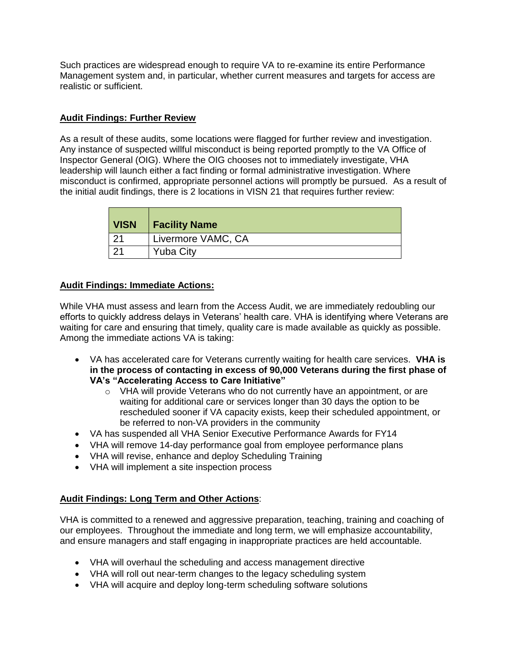Such practices are widespread enough to require VA to re-examine its entire Performance Management system and, in particular, whether current measures and targets for access are realistic or sufficient.

### **Audit Findings: Further Review**

As a result of these audits, some locations were flagged for further review and investigation. Any instance of suspected willful misconduct is being reported promptly to the VA Office of Inspector General (OIG). Where the OIG chooses not to immediately investigate, VHA leadership will launch either a fact finding or formal administrative investigation. Where misconduct is confirmed, appropriate personnel actions will promptly be pursued. As a result of the initial audit findings, there is 2 locations in VISN 21 that requires further review:

| <b>VISN</b> | <b>Facility Name</b> |
|-------------|----------------------|
| ົດ4         | Livermore VAMC, CA   |
|             | <b>Yuba City</b>     |

# **Audit Findings: Immediate Actions:**

While VHA must assess and learn from the Access Audit, we are immediately redoubling our efforts to quickly address delays in Veterans' health care. VHA is identifying where Veterans are waiting for care and ensuring that timely, quality care is made available as quickly as possible. Among the immediate actions VA is taking:

- VA has accelerated care for Veterans currently waiting for health care services. **VHA is in the process of contacting in excess of 90,000 Veterans during the first phase of VA's "Accelerating Access to Care Initiative"**
	- $\circ$  VHA will provide Veterans who do not currently have an appointment, or are waiting for additional care or services longer than 30 days the option to be rescheduled sooner if VA capacity exists, keep their scheduled appointment, or be referred to non-VA providers in the community
- VA has suspended all VHA Senior Executive Performance Awards for FY14
- VHA will remove 14-day performance goal from employee performance plans
- VHA will revise, enhance and deploy Scheduling Training
- VHA will implement a site inspection process

# **Audit Findings: Long Term and Other Actions**:

VHA is committed to a renewed and aggressive preparation, teaching, training and coaching of our employees. Throughout the immediate and long term, we will emphasize accountability, and ensure managers and staff engaging in inappropriate practices are held accountable.

- VHA will overhaul the scheduling and access management directive
- VHA will roll out near-term changes to the legacy scheduling system
- VHA will acquire and deploy long-term scheduling software solutions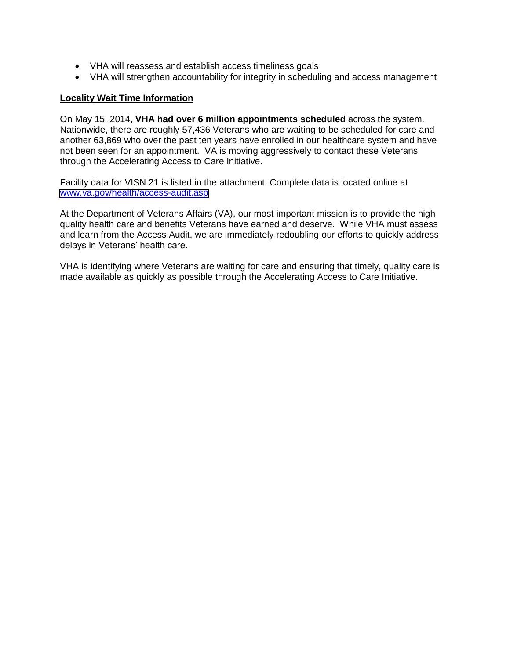- VHA will reassess and establish access timeliness goals
- VHA will strengthen accountability for integrity in scheduling and access management

#### **Locality Wait Time Information**

On May 15, 2014, **VHA had over 6 million appointments scheduled** across the system. Nationwide, there are roughly 57,436 Veterans who are waiting to be scheduled for care and another 63,869 who over the past ten years have enrolled in our healthcare system and have not been seen for an appointment. VA is moving aggressively to contact these Veterans through the Accelerating Access to Care Initiative.

Facility data for VISN 21 is listed in the attachment. Complete data is located online at [www.va.gov/health/access-audit.asp](https://www.va.gov/health/access-audit.asp)

At the Department of Veterans Affairs (VA), our most important mission is to provide the high quality health care and benefits Veterans have earned and deserve. While VHA must assess and learn from the Access Audit, we are immediately redoubling our efforts to quickly address delays in Veterans' health care.

VHA is identifying where Veterans are waiting for care and ensuring that timely, quality care is made available as quickly as possible through the Accelerating Access to Care Initiative.